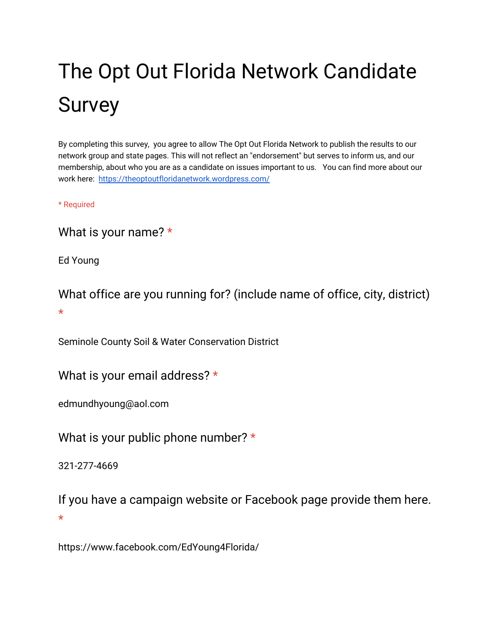# The Opt Out Florida Network Candidate Survey

By completing this survey, you agree to allow The Opt Out Florida Network to publish the results to our network group and state pages. This will not reflect an "endorsement" but serves to inform us, and our membership, about who you are as a candidate on issues important to us. You can find more about our work here: <https://theoptoutfloridanetwork.wordpress.com/>

\* Required

What is your name? \*

Ed Young

What office are you running for? (include name of office, city, district) \*

Seminole County Soil & Water Conservation District

What is your email address? \*

edmundhyoung@aol.com

What is your public phone number? \*

321-277-4669

If you have a campaign website or Facebook page provide them here. \*

https://www.facebook.com/EdYoung4Florida/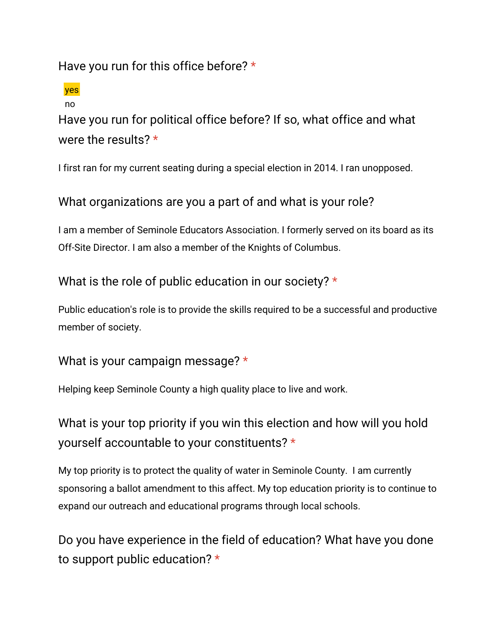Have you run for this office before? \*

yes no

Have you run for political office before? If so, what office and what were the results? \*

I first ran for my current seating during a special election in 2014. I ran unopposed.

#### What organizations are you a part of and what is your role?

I am a member of Seminole Educators Association. I formerly served on its board as its Off-Site Director. I am also a member of the Knights of Columbus.

What is the role of public education in our society? \*

Public education's role is to provide the skills required to be a successful and productive member of society.

#### What is your campaign message? \*

Helping keep Seminole County a high quality place to live and work.

What is your top priority if you win this election and how will you hold yourself accountable to your constituents? \*

My top priority is to protect the quality of water in Seminole County. I am currently sponsoring a ballot amendment to this affect. My top education priority is to continue to expand our outreach and educational programs through local schools.

Do you have experience in the field of education? What have you done to support public education? \*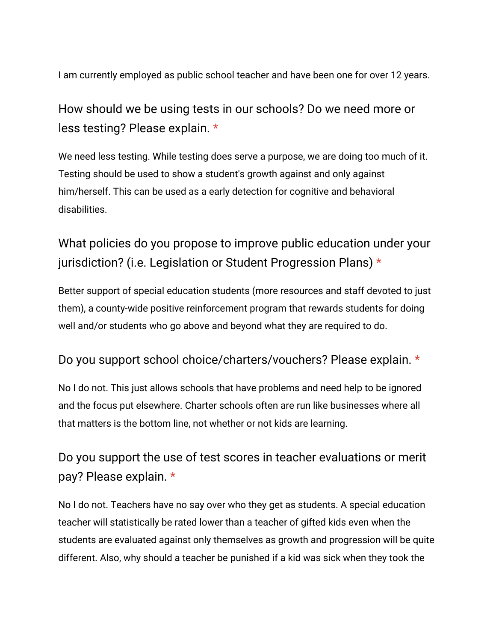I am currently employed as public school teacher and have been one for over 12 years.

## How should we be using tests in our schools? Do we need more or less testing? Please explain. \*

We need less testing. While testing does serve a purpose, we are doing too much of it. Testing should be used to show a student's growth against and only against him/herself. This can be used as a early detection for cognitive and behavioral disabilities.

## What policies do you propose to improve public education under your jurisdiction? (i.e. Legislation or Student Progression Plans) \*

Better support of special education students (more resources and staff devoted to just them), a county-wide positive reinforcement program that rewards students for doing well and/or students who go above and beyond what they are required to do.

#### Do you support school choice/charters/vouchers? Please explain. \*

No I do not. This just allows schools that have problems and need help to be ignored and the focus put elsewhere. Charter schools often are run like businesses where all that matters is the bottom line, not whether or not kids are learning.

## Do you support the use of test scores in teacher evaluations or merit pay? Please explain. \*

No I do not. Teachers have no say over who they get as students. A special education teacher will statistically be rated lower than a teacher of gifted kids even when the students are evaluated against only themselves as growth and progression will be quite different. Also, why should a teacher be punished if a kid was sick when they took the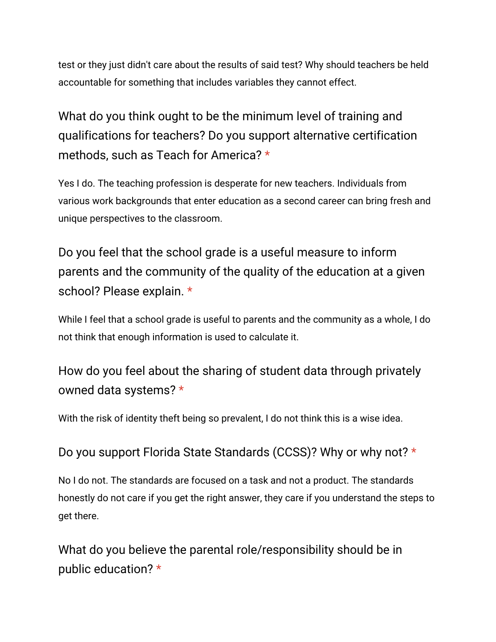test or they just didn't care about the results of said test? Why should teachers be held accountable for something that includes variables they cannot effect.

What do you think ought to be the minimum level of training and qualifications for teachers? Do you support alternative certification methods, such as Teach for America? \*

Yes I do. The teaching profession is desperate for new teachers. Individuals from various work backgrounds that enter education as a second career can bring fresh and unique perspectives to the classroom.

Do you feel that the school grade is a useful measure to inform parents and the community of the quality of the education at a given school? Please explain. \*

While I feel that a school grade is useful to parents and the community as a whole, I do not think that enough information is used to calculate it.

How do you feel about the sharing of student data through privately owned data systems? \*

With the risk of identity theft being so prevalent, I do not think this is a wise idea.

Do you support Florida State Standards (CCSS)? Why or why not? \*

No I do not. The standards are focused on a task and not a product. The standards honestly do not care if you get the right answer, they care if you understand the steps to get there.

What do you believe the parental role/responsibility should be in public education? \*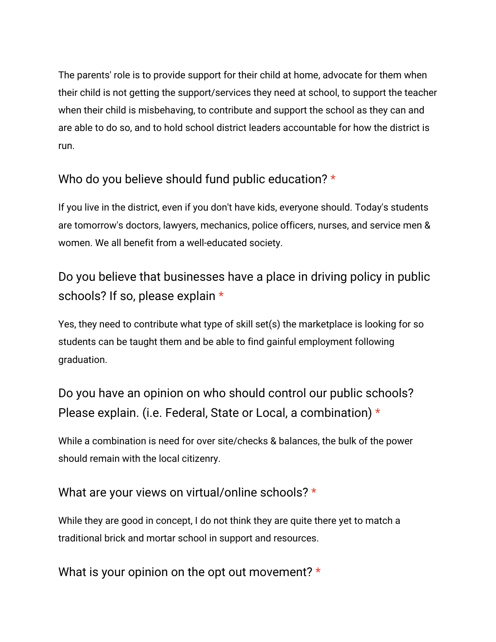The parents' role is to provide support for their child at home, advocate for them when their child is not getting the support/services they need at school, to support the teacher when their child is misbehaving, to contribute and support the school as they can and are able to do so, and to hold school district leaders accountable for how the district is run.

### Who do you believe should fund public education? \*

If you live in the district, even if you don't have kids, everyone should. Today's students are tomorrow's doctors, lawyers, mechanics, police officers, nurses, and service men & women. We all benefit from a well-educated society.

## Do you believe that businesses have a place in driving policy in public schools? If so, please explain \*

Yes, they need to contribute what type of skill set(s) the marketplace is looking for so students can be taught them and be able to find gainful employment following graduation.

# Do you have an opinion on who should control our public schools? Please explain. (i.e. Federal, State or Local, a combination) \*

While a combination is need for over site/checks & balances, the bulk of the power should remain with the local citizenry.

#### What are your views on virtual/online schools? \*

While they are good in concept, I do not think they are quite there yet to match a traditional brick and mortar school in support and resources.

What is your opinion on the opt out movement? \*